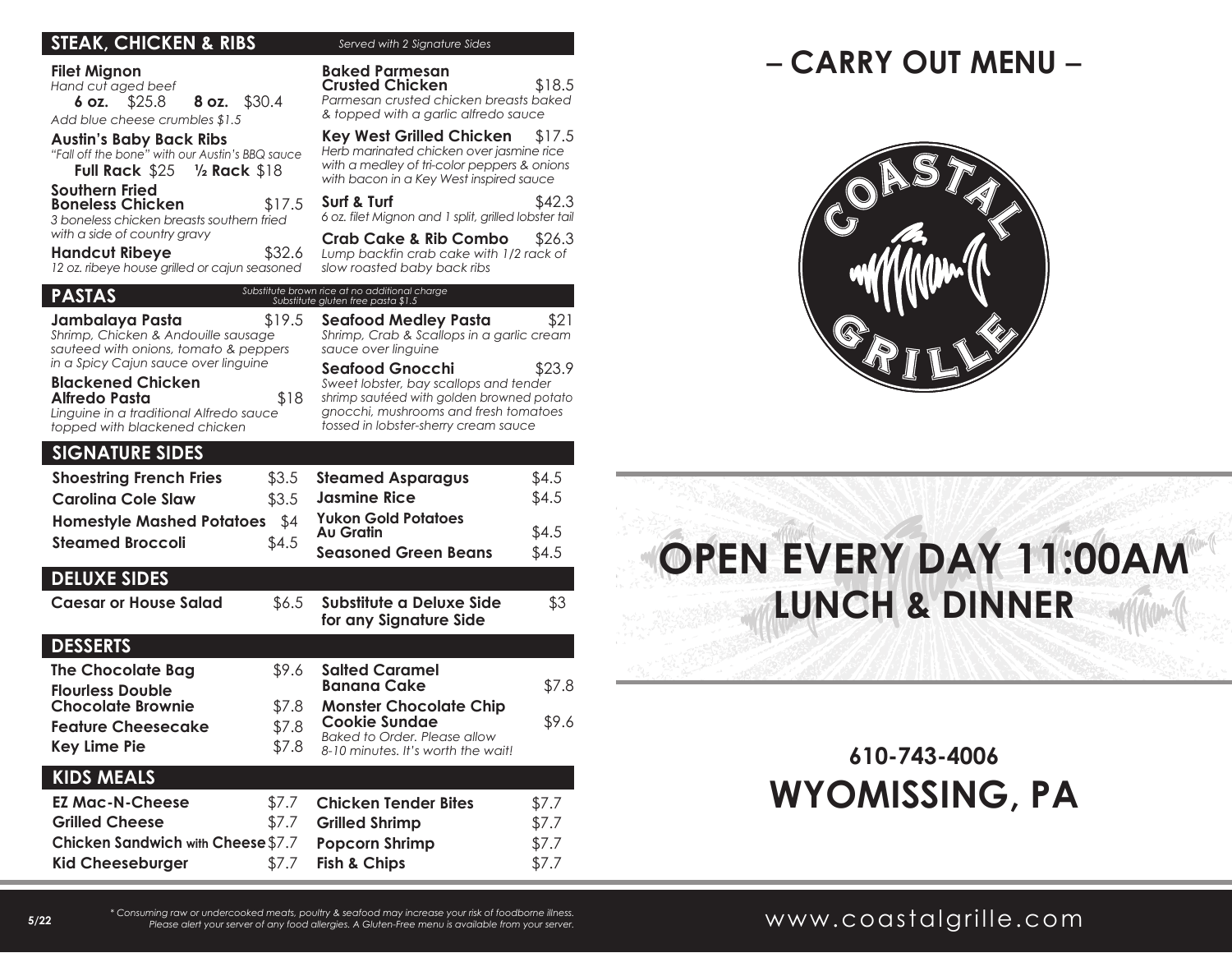| <b>STEAK, CHICKEN &amp; RIBS</b>                                                                                                                                      | Served with 2 Signature Sides                                                                                                                                                                            |
|-----------------------------------------------------------------------------------------------------------------------------------------------------------------------|----------------------------------------------------------------------------------------------------------------------------------------------------------------------------------------------------------|
| <b>Filet Mignon</b><br>Hand cut aged beef<br>\$25.8<br>6 oz.<br><b>8 oz.</b> \$30.4<br>Add blue cheese crumbles \$1.5<br><b>Austin's Baby Back Ribs</b>               | <b>Baked Parmesan</b><br>\$18.5<br><b>Crusted Chicken</b><br>Parmesan crusted chicken breasts baked<br>& topped with a garlic alfredo sauce<br><b>Key West Grilled Chicken</b><br>\$17.5                 |
| "Fall off the bone" with our Austin's BBQ sauce                                                                                                                       | Herb marinated chicken over jasmine rice<br>with a medley of tri-color peppers & onions<br>with bacon in a Key West inspired sauce                                                                       |
| <b>Southern Fried</b><br>\$17.5<br><b>Boneless Chicken</b><br>3 boneless chicken breasts southern fried<br>with a side of country gravy                               | Surf & Turf<br>\$42.3<br>6 oz. filet Mignon and 1 split, grilled lobster tail                                                                                                                            |
| \$32.6<br><b>Handcut Ribeye</b><br>12 oz. ribeye house grilled or cajun seasoned                                                                                      | <b>Crab Cake &amp; Rib Combo</b><br>\$26.3<br>Lump backfin crab cake with 1/2 rack of<br>slow roasted baby back ribs                                                                                     |
| <b>PASTAS</b>                                                                                                                                                         | Substitute brown rice at no additional charge<br>Substitute gluten free pasta \$1.5                                                                                                                      |
| \$19.5<br>Jambalaya Pasta<br>Shrimp, Chicken & Andouille sausage<br>sauteed with onions, tomato & peppers                                                             | Seafood Medley Pasta<br>\$21<br>Shrimp, Crab & Scallops in a garlic cream<br>sauce over linguine                                                                                                         |
| in a Spicy Cajun sauce over linguine<br><b>Blackened Chicken</b><br>Alfredo Pasta<br>\$18<br>Linguine in a traditional Alfredo sauce<br>topped with blackened chicken | <b>Seafood Gnocchi</b><br>\$23.9<br>Sweet lobster, bay scallops and tender<br>shrimp sautéed with golden browned potato<br>gnocchi, mushrooms and fresh tomatoes<br>tossed in lobster-sherry cream sauce |
| <b>SIGNATURE SIDES</b>                                                                                                                                                |                                                                                                                                                                                                          |
| <b>Shoestring French Fries</b><br>\$3.5                                                                                                                               | <b>Steamed Asparagus</b><br>\$4.5                                                                                                                                                                        |
| <b>Carolina Cole Slaw</b><br>\$3.5                                                                                                                                    | <b>Jasmine Rice</b><br>\$4.5                                                                                                                                                                             |
| <b>Homestyle Mashed Potatoes</b><br>\$4                                                                                                                               | <b>Yukon Gold Potatoes</b><br>\$4.5<br>Au Gratin                                                                                                                                                         |
| <b>Steamed Broccoli</b><br>\$4.5                                                                                                                                      | \$4.5<br><b>Seasoned Green Beans</b>                                                                                                                                                                     |
| <b>DELUXE SIDES</b>                                                                                                                                                   |                                                                                                                                                                                                          |
| \$6.5<br><b>Caesar or House Salad</b>                                                                                                                                 | Substitute a Deluxe Side<br>\$3<br>for any Signature Side                                                                                                                                                |
| <b>DESSERTS</b>                                                                                                                                                       |                                                                                                                                                                                                          |
| <b>The Chocolate Bag</b><br>\$9.6<br><b>Flourless Double</b>                                                                                                          | <b>Salted Caramel</b><br><b>Banana Cake</b><br>\$7.8                                                                                                                                                     |
| <b>Chocolate Brownie</b><br>\$7.8                                                                                                                                     | <b>Monster Chocolate Chip</b>                                                                                                                                                                            |
| \$7.8<br><b>Feature Cheesecake</b>                                                                                                                                    | \$9.6<br><b>Cookie Sundae</b><br>Baked to Order. Please allow                                                                                                                                            |
| <b>Key Lime Pie</b><br>\$7.8                                                                                                                                          | 8-10 minutes. It's worth the wait!                                                                                                                                                                       |
| <b>KIDS MEALS</b>                                                                                                                                                     |                                                                                                                                                                                                          |
| <b>EZ Mac-N-Cheese</b><br>\$7.7                                                                                                                                       | <b>Chicken Tender Bites</b><br>\$7.7                                                                                                                                                                     |
| \$7.7<br><b>Grilled Cheese</b>                                                                                                                                        | <b>Grilled Shrimp</b><br>\$7.7                                                                                                                                                                           |
| Chicken Sandwich with Cheese \$7.7                                                                                                                                    | <b>Popcorn Shrimp</b><br>\$7.7                                                                                                                                                                           |
| <b>Kid Cheeseburger</b><br>\$7.7                                                                                                                                      | <b>Fish &amp; Chips</b><br>\$7.7                                                                                                                                                                         |

# **– CARRY OUT MENU –**



# **OPEN EVERY DAY 11:00AM LUNCH & DINNER**

# **610-743-4006 WYOMISSING, PA**